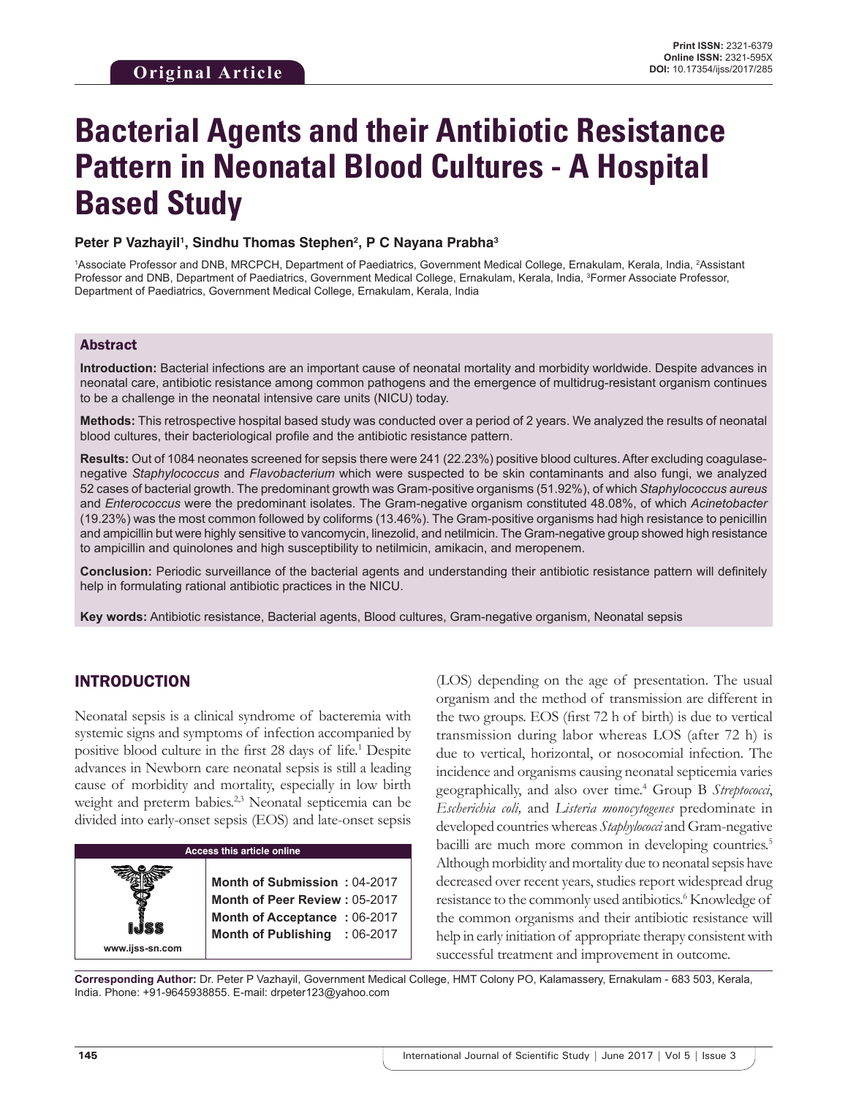# **Bacterial Agents and their Antibiotic Resistance Pattern in Neonatal Blood Cultures - A Hospital Based Study**

#### Peter P Vazhayil<sup>1</sup>, Sindhu Thomas Stephen<sup>2</sup>, P C Nayana Prabha<sup>3</sup>

<sup>1</sup>Associate Professor and DNB, MRCPCH, Department of Paediatrics, Government Medical College, Ernakulam, Kerala, India, <sup>2</sup>Assistant Professor and DNB, Department of Paediatrics, Government Medical College, Ernakulam, Kerala, India, 3 Former Associate Professor, Department of Paediatrics, Government Medical College, Ernakulam, Kerala, India

#### Abstract

**Introduction:** Bacterial infections are an important cause of neonatal mortality and morbidity worldwide. Despite advances in neonatal care, antibiotic resistance among common pathogens and the emergence of multidrug-resistant organism continues to be a challenge in the neonatal intensive care units (NICU) today.

**Methods:** This retrospective hospital based study was conducted over a period of 2 years. We analyzed the results of neonatal blood cultures, their bacteriological profile and the antibiotic resistance pattern.

**Results:** Out of 1084 neonates screened for sepsis there were 241 (22.23%) positive blood cultures. After excluding coagulasenegative *Staphylococcus* and *Flavobacterium* which were suspected to be skin contaminants and also fungi, we analyzed 52 cases of bacterial growth. The predominant growth was Gram-positive organisms (51.92%), of which *Staphylococcus aureus* and *Enterococcus* were the predominant isolates. The Gram-negative organism constituted 48.08%, of which *Acinetobacter* (19.23%) was the most common followed by coliforms (13.46%). The Gram-positive organisms had high resistance to penicillin and ampicillin but were highly sensitive to vancomycin, linezolid, and netilmicin. The Gram-negative group showed high resistance to ampicillin and quinolones and high susceptibility to netilmicin, amikacin, and meropenem.

**Conclusion:** Periodic surveillance of the bacterial agents and understanding their antibiotic resistance pattern will definitely help in formulating rational antibiotic practices in the NICU.

**Key words:** Antibiotic resistance, Bacterial agents, Blood cultures, Gram-negative organism, Neonatal sepsis

# INTRODUCTION

Neonatal sepsis is a clinical syndrome of bacteremia with systemic signs and symptoms of infection accompanied by positive blood culture in the first 28 days of life.<sup>1</sup> Despite advances in Newborn care neonatal sepsis is still a leading cause of morbidity and mortality, especially in low birth weight and preterm babies.<sup>2,3</sup> Neonatal septicemia can be divided into early-onset sepsis (EOS) and late-onset sepsis

**Access this article online www.ijss-sn.com Month of Submission :** 04-2017 **Month of Peer Review :** 05-2017 **Month of Acceptance :** 06-2017 **Month of Publishing :** 06-2017 (LOS) depending on the age of presentation. The usual organism and the method of transmission are different in the two groups. EOS (first 72 h of birth) is due to vertical transmission during labor whereas LOS (after 72 h) is due to vertical, horizontal, or nosocomial infection. The incidence and organisms causing neonatal septicemia varies geographically, and also over time.<sup>4</sup> Group B *Streptococci*, *Escherichia coli,* and *Listeria monocytogenes* predominate in developed countries whereas *Staphylococci* and Gram-negative bacilli are much more common in developing countries.<sup>5</sup> Although morbidity and mortality due to neonatal sepsis have decreased over recent years, studies report widespread drug resistance to the commonly used antibiotics.<sup>6</sup> Knowledge of the common organisms and their antibiotic resistance will help in early initiation of appropriate therapy consistent with successful treatment and improvement in outcome.

**Corresponding Author:** Dr. Peter P Vazhayil, Government Medical College, HMT Colony PO, Kalamassery, Ernakulam - 683 503, Kerala, India. Phone: +91-9645938855. E-mail: drpeter123@yahoo.com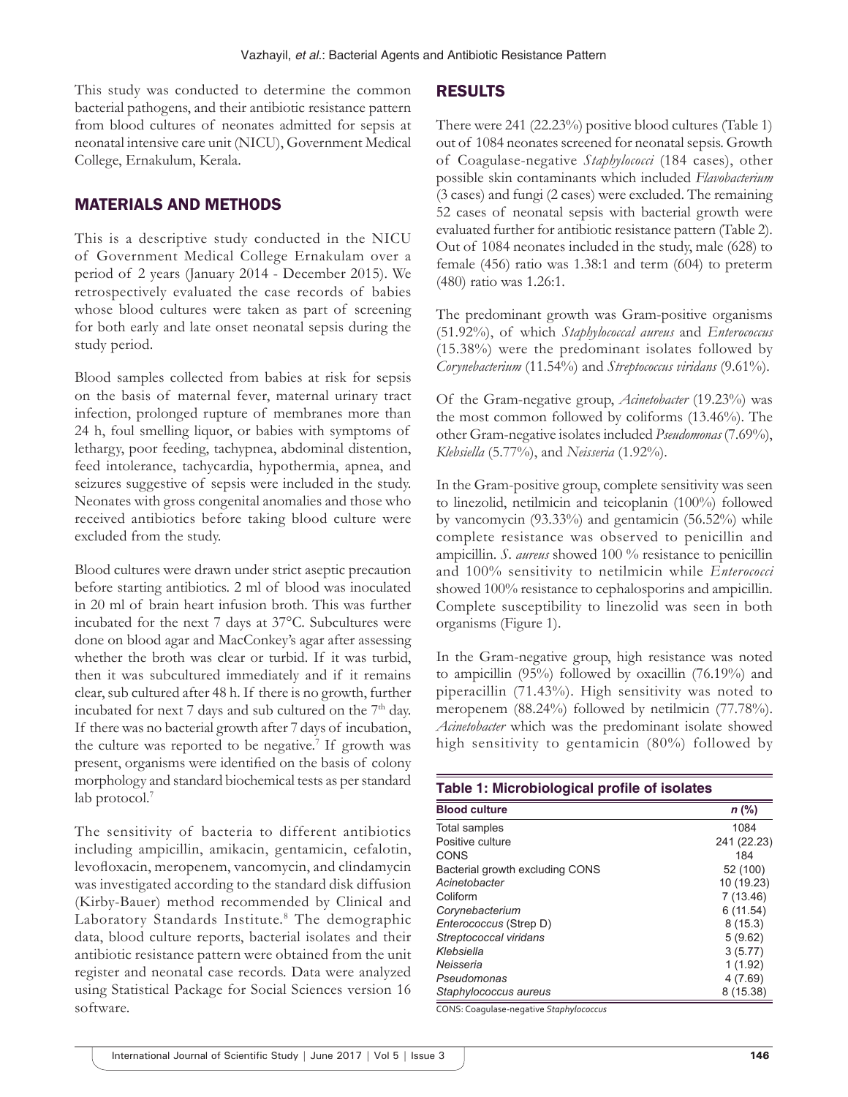This study was conducted to determine the common bacterial pathogens, and their antibiotic resistance pattern from blood cultures of neonates admitted for sepsis at neonatal intensive care unit (NICU), Government Medical College, Ernakulum, Kerala.

#### MATERIALS AND METHODS

This is a descriptive study conducted in the NICU of Government Medical College Ernakulam over a period of 2 years (January 2014 - December 2015). We retrospectively evaluated the case records of babies whose blood cultures were taken as part of screening for both early and late onset neonatal sepsis during the study period.

Blood samples collected from babies at risk for sepsis on the basis of maternal fever, maternal urinary tract infection, prolonged rupture of membranes more than 24 h, foul smelling liquor, or babies with symptoms of lethargy, poor feeding, tachypnea, abdominal distention, feed intolerance, tachycardia, hypothermia, apnea, and seizures suggestive of sepsis were included in the study. Neonates with gross congenital anomalies and those who received antibiotics before taking blood culture were excluded from the study.

Blood cultures were drawn under strict aseptic precaution before starting antibiotics. 2 ml of blood was inoculated in 20 ml of brain heart infusion broth. This was further incubated for the next 7 days at 37°C. Subcultures were done on blood agar and MacConkey's agar after assessing whether the broth was clear or turbid. If it was turbid, then it was subcultured immediately and if it remains clear, sub cultured after 48 h. If there is no growth, further incubated for next 7 days and sub cultured on the 7<sup>th</sup> day. If there was no bacterial growth after 7 days of incubation, the culture was reported to be negative.<sup>7</sup> If growth was present, organisms were identified on the basis of colony morphology and standard biochemical tests as per standard lab protocol.<sup>7</sup>

The sensitivity of bacteria to different antibiotics including ampicillin, amikacin, gentamicin, cefalotin, levofloxacin, meropenem, vancomycin, and clindamycin was investigated according to the standard disk diffusion (Kirby-Bauer) method recommended by Clinical and Laboratory Standards Institute.8 The demographic data, blood culture reports, bacterial isolates and their antibiotic resistance pattern were obtained from the unit register and neonatal case records. Data were analyzed using Statistical Package for Social Sciences version 16 software.

#### RESULTS

There were 241 (22.23%) positive blood cultures (Table 1) out of 1084 neonates screened for neonatal sepsis. Growth of Coagulase-negative *Staphylococci* (184 cases), other possible skin contaminants which included *Flavobacterium* (3 cases) and fungi (2 cases) were excluded. The remaining 52 cases of neonatal sepsis with bacterial growth were evaluated further for antibiotic resistance pattern (Table 2). Out of 1084 neonates included in the study, male (628) to female (456) ratio was 1.38:1 and term (604) to preterm (480) ratio was 1.26:1.

The predominant growth was Gram-positive organisms (51.92%), of which *Staphylococcal aureus* and *Enterococcus* (15.38%) were the predominant isolates followed by *Corynebacterium* (11.54%) and *Streptococcus viridans* (9.61%).

Of the Gram-negative group, *Acinetobacter* (19.23%) was the most common followed by coliforms (13.46%). The other Gram-negative isolates included *Pseudomonas* (7.69%), *Klebsiella* (5.77%), and *Neisseria* (1.92%).

In the Gram-positive group, complete sensitivity was seen to linezolid, netilmicin and teicoplanin (100%) followed by vancomycin (93.33%) and gentamicin (56.52%) while complete resistance was observed to penicillin and ampicillin. *S. aureus* showed 100 % resistance to penicillin and 100% sensitivity to netilmicin while *Enterococci* showed 100% resistance to cephalosporins and ampicillin. Complete susceptibility to linezolid was seen in both organisms (Figure 1).

In the Gram-negative group, high resistance was noted to ampicillin (95%) followed by oxacillin (76.19%) and piperacillin (71.43%). High sensitivity was noted to meropenem (88.24%) followed by netilmicin (77.78%). *Acinetobacter* which was the predominant isolate showed high sensitivity to gentamicin (80%) followed by

| <b>Blood culture</b>            | $n$ (%)     |
|---------------------------------|-------------|
| Total samples                   | 1084        |
| Positive culture                | 241 (22.23) |
| CONS                            | 184         |
| Bacterial growth excluding CONS | 52 (100)    |
| Acinetobacter                   | 10 (19.23)  |
| Coliform                        | 7(13.46)    |
| Corynebacterium                 | 6(11.54)    |
| Enterococcus (Strep D)          | 8(15.3)     |
| Streptococcal viridans          | 5(9.62)     |
| Klebsiella                      | 3(5.77)     |
| Neisseria                       | 1(1.92)     |
| Pseudomonas                     | 4(7.69)     |
| Staphylococcus aureus           | 8 (15.38)   |

CONS: Coagulase‑negative *Staphylococcus*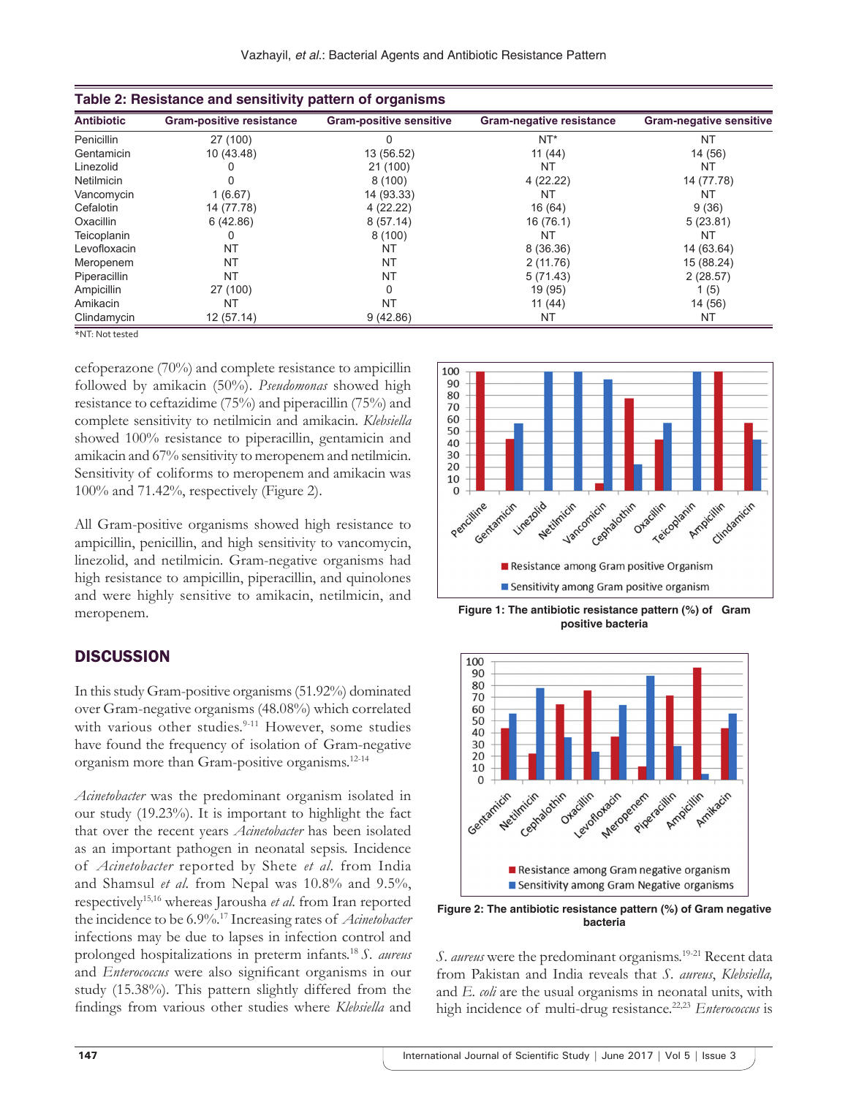| <b>Antibiotic</b> | <b>Gram-positive resistance</b> | <b>Gram-positive sensitive</b> | <b>Gram-negative resistance</b> | <b>Gram-negative sensitive</b> |
|-------------------|---------------------------------|--------------------------------|---------------------------------|--------------------------------|
| Penicillin        | 27 (100)                        |                                | $NT^*$                          | <b>NT</b>                      |
| Gentamicin        | 10 (43.48)                      | 13 (56.52)                     | 11(44)                          | 14 (56)                        |
| Linezolid         |                                 | 21(100)                        | NT                              | NT                             |
| <b>Netilmicin</b> |                                 | 8(100)                         | 4(22.22)                        | 14 (77.78)                     |
| Vancomycin        | 1(6.67)                         | 14 (93.33)                     | NT                              | NT                             |
| Cefalotin         | 14 (77.78)                      | 4(22.22)                       | 16 (64)                         | 9(36)                          |
| Oxacillin         | 6(42.86)                        | 8(57.14)                       | 16 (76.1)                       | 5(23.81)                       |
| Teicoplanin       | 0                               | 8(100)                         | ΝT                              | <b>NT</b>                      |
| Levofloxacin      | NT                              | NT                             | 8 (36.36)                       | 14 (63.64)                     |
| Meropenem         | NT                              | NT                             | 2(11.76)                        | 15 (88.24)                     |
| Piperacillin      | NT                              | NT                             | 5(71.43)                        | 2(28.57)                       |
| Ampicillin        | 27 (100)                        | 0                              | 19 (95)                         | 1(5)                           |
| Amikacin          | NT                              | NT                             | 11(44)                          | 14 (56)                        |
| Clindamycin       | 12(57.14)                       | 9(42.86)                       | <b>NT</b>                       | NT                             |

\*NT: Not tested

cefoperazone (70%) and complete resistance to ampicillin followed by amikacin (50%). *Pseudomonas* showed high resistance to ceftazidime (75%) and piperacillin (75%) and complete sensitivity to netilmicin and amikacin. *Klebsiella* showed 100% resistance to piperacillin, gentamicin and amikacin and 67% sensitivity to meropenem and netilmicin. Sensitivity of coliforms to meropenem and amikacin was 100% and 71.42%, respectively (Figure 2).

All Gram-positive organisms showed high resistance to ampicillin, penicillin, and high sensitivity to vancomycin, linezolid, and netilmicin. Gram-negative organisms had high resistance to ampicillin, piperacillin, and quinolones and were highly sensitive to amikacin, netilmicin, and meropenem.

## **DISCUSSION**

In this study Gram-positive organisms (51.92%) dominated over Gram-negative organisms (48.08%) which correlated with various other studies.<sup>9-11</sup> However, some studies have found the frequency of isolation of Gram-negative organism more than Gram-positive organisms.12-14

*Acinetobacter* was the predominant organism isolated in our study (19.23%). It is important to highlight the fact that over the recent years *Acinetobacter* has been isolated as an important pathogen in neonatal sepsis. Incidence of *Acinetobacter* reported by Shete *et al*. from India and Shamsul *et al*. from Nepal was 10.8% and 9.5%, respectively15,16 whereas Jarousha *et al*. from Iran reported the incidence to be 6.9%.17 Increasing rates of *Acinetobacter* infections may be due to lapses in infection control and prolonged hospitalizations in preterm infants.18 *S. aureus* and *Enterococcus* were also significant organisms in our study (15.38%). This pattern slightly differed from the findings from various other studies where *Klebsiella* and



**Figure 1: The antibiotic resistance pattern (%) of Gram positive bacteria**



**Figure 2: The antibiotic resistance pattern (%) of Gram negative bacteria**

*S. aureus* were the predominant organisms.<sup>19-21</sup> Recent data from Pakistan and India reveals that *S. aureus*, *Klebsiella,*  and *E. coli* are the usual organisms in neonatal units, with high incidence of multi-drug resistance.<sup>22,23</sup> *Enterococcus* is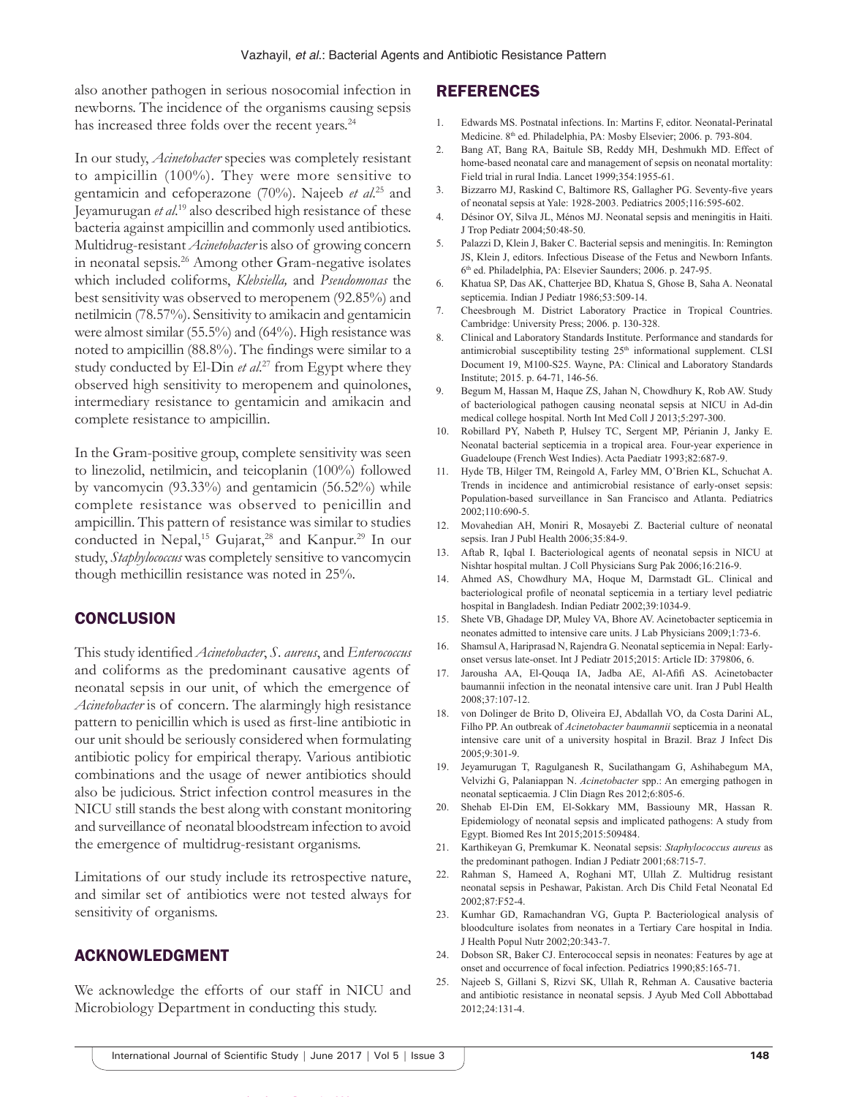also another pathogen in serious nosocomial infection in newborns. The incidence of the organisms causing sepsis has increased three folds over the recent years.<sup>24</sup>

In our study, *Acinetobacter* species was completely resistant to ampicillin (100%). They were more sensitive to gentamicin and cefoperazone (70%). Najeeb *et al*. <sup>25</sup> and Jeyamurugan *et al*. <sup>19</sup> also described high resistance of these bacteria against ampicillin and commonly used antibiotics. Multidrug-resistant *Acinetobacter* is also of growing concern in neonatal sepsis.26 Among other Gram-negative isolates which included coliforms, *Klebsiella,* and *Pseudomonas* the best sensitivity was observed to meropenem (92.85%) and netilmicin (78.57%). Sensitivity to amikacin and gentamicin were almost similar (55.5%) and (64%). High resistance was noted to ampicillin (88.8%). The findings were similar to a study conducted by El-Din *et al*. 27 from Egypt where they observed high sensitivity to meropenem and quinolones, intermediary resistance to gentamicin and amikacin and complete resistance to ampicillin.

In the Gram-positive group, complete sensitivity was seen to linezolid, netilmicin, and teicoplanin (100%) followed by vancomycin (93.33%) and gentamicin (56.52%) while complete resistance was observed to penicillin and ampicillin. This pattern of resistance was similar to studies conducted in Nepal,<sup>15</sup> Gujarat,<sup>28</sup> and Kanpur.<sup>29</sup> In our study, *Staphylococcus* was completely sensitive to vancomycin though methicillin resistance was noted in 25%.

## **CONCLUSION**

This study identified *Acinetobacter*, *S. aureus*, and *Enterococcus* and coliforms as the predominant causative agents of neonatal sepsis in our unit, of which the emergence of *Acinetobacter* is of concern. The alarmingly high resistance pattern to penicillin which is used as first-line antibiotic in our unit should be seriously considered when formulating antibiotic policy for empirical therapy. Various antibiotic combinations and the usage of newer antibiotics should also be judicious. Strict infection control measures in the NICU still stands the best along with constant monitoring and surveillance of neonatal bloodstream infection to avoid the emergence of multidrug-resistant organisms.

Limitations of our study include its retrospective nature, and similar set of antibiotics were not tested always for sensitivity of organisms.

# ACKNOWLEDGMENT

We acknowledge the efforts of our staff in NICU and Microbiology Department in conducting this study.

## REFERENCES

- 1. Edwards MS. Postnatal infections. In: Martins F, editor. Neonatal-Perinatal Medicine. 8th ed. Philadelphia, PA: Mosby Elsevier; 2006. p. 793-804.
- 2. Bang AT, Bang RA, Baitule SB, Reddy MH, Deshmukh MD. Effect of home-based neonatal care and management of sepsis on neonatal mortality: Field trial in rural India. Lancet 1999;354:1955-61.
- 3. Bizzarro MJ, Raskind C, Baltimore RS, Gallagher PG. Seventy-five years of neonatal sepsis at Yale: 1928-2003. Pediatrics 2005;116:595-602.
- 4. Désinor OY, Silva JL, Ménos MJ. Neonatal sepsis and meningitis in Haiti. J Trop Pediatr 2004;50:48-50.
- 5. Palazzi D, Klein J, Baker C. Bacterial sepsis and meningitis. In: Remington JS, Klein J, editors. Infectious Disease of the Fetus and Newborn Infants. 6th ed. Philadelphia, PA: Elsevier Saunders; 2006. p. 247-95.
- 6. Khatua SP, Das AK, Chatterjee BD, Khatua S, Ghose B, Saha A. Neonatal septicemia. Indian J Pediatr 1986;53:509-14.
- 7. Cheesbrough M. District Laboratory Practice in Tropical Countries. Cambridge: University Press; 2006. p. 130-328.
- 8. Clinical and Laboratory Standards Institute. Performance and standards for antimicrobial susceptibility testing 25<sup>th</sup> informational supplement. CLSI Document 19, M100-S25. Wayne, PA: Clinical and Laboratory Standards Institute; 2015. p. 64-71, 146-56.
- 9. Begum M, Hassan M, Haque ZS, Jahan N, Chowdhury K, Rob AW. Study of bacteriological pathogen causing neonatal sepsis at NICU in Ad-din medical college hospital. North Int Med Coll J 2013;5:297-300.
- 10. Robillard PY, Nabeth P, Hulsey TC, Sergent MP, Périanin J, Janky E. Neonatal bacterial septicemia in a tropical area. Four-year experience in Guadeloupe (French West Indies). Acta Paediatr 1993;82:687-9.
- 11. Hyde TB, Hilger TM, Reingold A, Farley MM, O'Brien KL, Schuchat A. Trends in incidence and antimicrobial resistance of early-onset sepsis: Population-based surveillance in San Francisco and Atlanta. Pediatrics 2002;110:690-5.
- 12. Movahedian AH, Moniri R, Mosayebi Z. Bacterial culture of neonatal sepsis. Iran J Publ Health 2006;35:84-9.
- 13. Aftab R, Iqbal I. Bacteriological agents of neonatal sepsis in NICU at Nishtar hospital multan. J Coll Physicians Surg Pak 2006;16:216-9.
- 14. Ahmed AS, Chowdhury MA, Hoque M, Darmstadt GL. Clinical and bacteriological profile of neonatal septicemia in a tertiary level pediatric hospital in Bangladesh. Indian Pediatr 2002;39:1034-9.
- 15. Shete VB, Ghadage DP, Muley VA, Bhore AV. Acinetobacter septicemia in neonates admitted to intensive care units. J Lab Physicians 2009;1:73-6.
- 16. Shamsul A, Hariprasad N, Rajendra G. Neonatal septicemia in Nepal: Earlyonset versus late-onset. Int J Pediatr 2015;2015: Article ID: 379806, 6.
- 17. Jarousha AA, El-Qouqa IA, Jadba AE, Al-Afifi AS. Acinetobacter baumannii infection in the neonatal intensive care unit. Iran J Publ Health 2008;37:107-12.
- von Dolinger de Brito D, Oliveira EJ, Abdallah VO, da Costa Darini AL, Filho PP. An outbreak of *Acinetobacter baumannii* septicemia in a neonatal intensive care unit of a university hospital in Brazil. Braz J Infect Dis 2005;9:301-9.
- 19. Jeyamurugan T, Ragulganesh R, Sucilathangam G, Ashihabegum MA, Velvizhi G, Palaniappan N. *Acinetobacter* spp.: An emerging pathogen in neonatal septicaemia. J Clin Diagn Res 2012;6:805-6.
- 20. Shehab El-Din EM, El-Sokkary MM, Bassiouny MR, Hassan R. Epidemiology of neonatal sepsis and implicated pathogens: A study from Egypt. Biomed Res Int 2015;2015:509484.
- 21. Karthikeyan G, Premkumar K. Neonatal sepsis: *Staphylococcus aureus* as the predominant pathogen. Indian J Pediatr 2001;68:715-7.
- 22. Rahman S, Hameed A, Roghani MT, Ullah Z. Multidrug resistant neonatal sepsis in Peshawar, Pakistan. Arch Dis Child Fetal Neonatal Ed 2002;87:F52-4.
- 23. Kumhar GD, Ramachandran VG, Gupta P. Bacteriological analysis of bloodculture isolates from neonates in a Tertiary Care hospital in India. J Health Popul Nutr 2002;20:343-7.
- 24. Dobson SR, Baker CJ. Enterococcal sepsis in neonates: Features by age at onset and occurrence of focal infection. Pediatrics 1990;85:165-71.
- 25. Najeeb S, Gillani S, Rizvi SK, Ullah R, Rehman A. Causative bacteria and antibiotic resistance in neonatal sepsis. J Ayub Med Coll Abbottabad 2012;24:131-4.